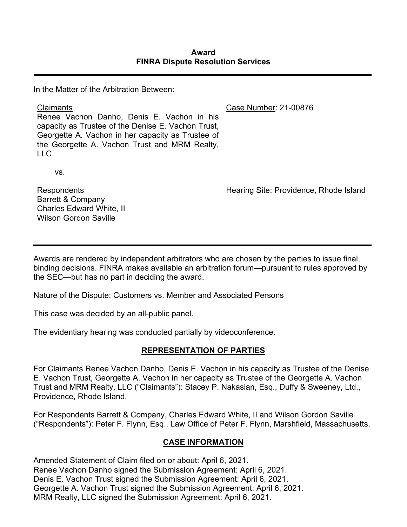In the Matter of the Arbitration Between:

Claimants Renee Vachon Danho, Denis E. Vachon in his capacity as Trustee of the Denise E. Vachon Trust, Georgette A. Vachon in her capacity as Trustee of the Georgette A. Vachon Trust and MRM Realty,  $ILC$ Case Number: 21-00876

vs.

Respondents Barrett & Company Charles Edward White, II Wilson Gordon Saville

Hearing Site: Providence, Rhode Island

Awards are rendered by independent arbitrators who are chosen by the parties to issue final, binding decisions. FINRA makes available an arbitration forum—pursuant to rules approved by the SEC—but has no part in deciding the award.

Nature of the Dispute: Customers vs. Member and Associated Persons

This case was decided by an all-public panel.

The evidentiary hearing was conducted partially by videoconference.

# **REPRESENTATION OF PARTIES**

For Claimants Renee Vachon Danho, Denis E. Vachon in his capacity as Trustee of the Denise E. Vachon Trust, Georgette A. Vachon in her capacity as Trustee of the Georgette A. Vachon Trust and MRM Realty, LLC ("Claimants"): Stacey P. Nakasian, Esq., Duffy & Sweeney, Ltd., Providence, Rhode Island.

For Respondents Barrett & Company, Charles Edward White, II and Wilson Gordon Saville ("Respondents"): Peter F. Flynn, Esq., Law Office of Peter F. Flynn, Marshfield, Massachusetts.

# **CASE INFORMATION**

Amended Statement of Claim filed on or about: April 6, 2021. Renee Vachon Danho signed the Submission Agreement: April 6, 2021. Denis E. Vachon Trust signed the Submission Agreement: April 6, 2021. Georgette A. Vachon Trust signed the Submission Agreement: April 6, 2021. MRM Realty, LLC signed the Submission Agreement: April 6, 2021.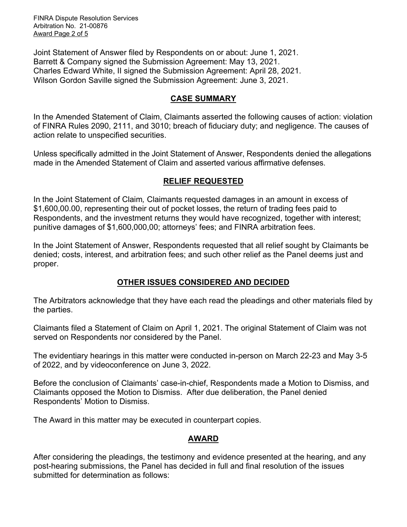FINRA Dispute Resolution Services Arbitration No. 21-00876 Award Page 2 of 5

Joint Statement of Answer filed by Respondents on or about: June 1, 2021. Barrett & Company signed the Submission Agreement: May 13, 2021. Charles Edward White, II signed the Submission Agreement: April 28, 2021. Wilson Gordon Saville signed the Submission Agreement: June 3, 2021.

### **CASE SUMMARY**

In the Amended Statement of Claim, Claimants asserted the following causes of action: violation of FINRA Rules 2090, 2111, and 3010; breach of fiduciary duty; and negligence. The causes of action relate to unspecified securities.

Unless specifically admitted in the Joint Statement of Answer, Respondents denied the allegations made in the Amended Statement of Claim and asserted various affirmative defenses.

### **RELIEF REQUESTED**

In the Joint Statement of Claim*,* Claimants requested damages in an amount in excess of \$1,600,00.00, representing their out of pocket losses, the return of trading fees paid to Respondents, and the investment returns they would have recognized, together with interest; punitive damages of \$1,600,000,00; attorneys' fees; and FINRA arbitration fees.

In the Joint Statement of Answer, Respondents requested that all relief sought by Claimants be denied; costs, interest, and arbitration fees; and such other relief as the Panel deems just and proper.

### **OTHER ISSUES CONSIDERED AND DECIDED**

The Arbitrators acknowledge that they have each read the pleadings and other materials filed by the parties.

Claimants filed a Statement of Claim on April 1, 2021. The original Statement of Claim was not served on Respondents nor considered by the Panel.

The evidentiary hearings in this matter were conducted in-person on March 22-23 and May 3-5 of 2022, and by videoconference on June 3, 2022.

Before the conclusion of Claimants' case-in-chief, Respondents made a Motion to Dismiss, and Claimants opposed the Motion to Dismiss. After due deliberation, the Panel denied Respondents' Motion to Dismiss.

The Award in this matter may be executed in counterpart copies.

### **AWARD**

After considering the pleadings, the testimony and evidence presented at the hearing, and any post-hearing submissions, the Panel has decided in full and final resolution of the issues submitted for determination as follows: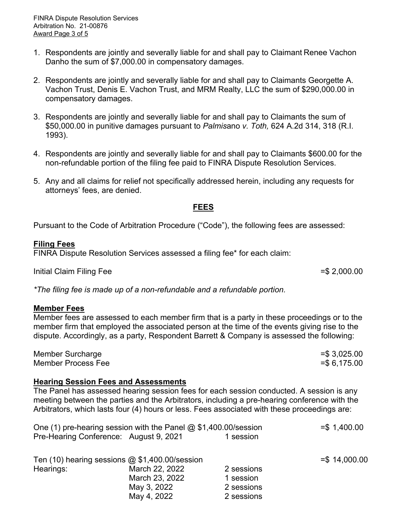- 1. Respondents are jointly and severally liable for and shall pay to Claimant Renee Vachon Danho the sum of \$7,000.00 in compensatory damages.
- 2. Respondents are jointly and severally liable for and shall pay to Claimants Georgette A. Vachon Trust, Denis E. Vachon Trust, and MRM Realty, LLC the sum of \$290,000.00 in compensatory damages.
- 3. Respondents are jointly and severally liable for and shall pay to Claimants the sum of \$50,000.00 in punitive damages pursuant to *Palmis*ano *v. Toth,* 624 A.2d 314, 318 (R.I. 1993).
- 4. Respondents are jointly and severally liable for and shall pay to Claimants \$600.00 for the non-refundable portion of the filing fee paid to FINRA Dispute Resolution Services.
- 5. Any and all claims for relief not specifically addressed herein, including any requests for attorneys' fees, are denied.

### **FEES**

Pursuant to the Code of Arbitration Procedure ("Code"), the following fees are assessed:

## **Filing Fees**

FINRA Dispute Resolution Services assessed a filing fee\* for each claim:

Initial Claim Filing Fee  $=$ \$ 2,000.00

*\*The filing fee is made up of a non-refundable and a refundable portion.*

### **Member Fees**

Member fees are assessed to each member firm that is a party in these proceedings or to the member firm that employed the associated person at the time of the events giving rise to the dispute. Accordingly, as a party, Respondent Barrett & Company is assessed the following:

Member Surcharge  $=$   $\frac{1}{3,025.00}$ Member Process Fee  $=$  \$ 6.175.00

# **Hearing Session Fees and Assessments**

The Panel has assessed hearing session fees for each session conducted. A session is any meeting between the parties and the Arbitrators, including a pre-hearing conference with the Arbitrators, which lasts four (4) hours or less. Fees associated with these proceedings are:

| One (1) pre-hearing session with the Panel @ \$1,400.00/session |           | $= $ 1,400.00$ |
|-----------------------------------------------------------------|-----------|----------------|
| Pre-Hearing Conference: August 9, 2021                          | 1 session |                |

|           | Ten $(10)$ hearing sessions $@$ \$1,400.00/session |            |
|-----------|----------------------------------------------------|------------|
| Hearings: | March 22, 2022                                     | 2 sessions |
|           | March 23, 2022                                     | 1 session  |
|           | May 3, 2022                                        | 2 sessions |
|           | May 4, 2022                                        | 2 sessions |
|           |                                                    |            |

=\$ 14,000.00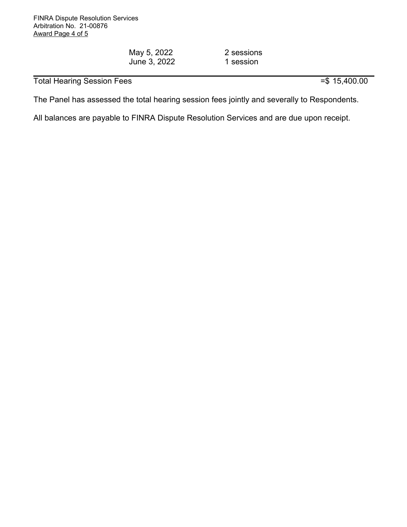May 5, 2022 June 3, 2022 2 sessions 1 session

Total Hearing Session Fees  $= $ 15,400.00$ 

The Panel has assessed the total hearing session fees jointly and severally to Respondents.

All balances are payable to FINRA Dispute Resolution Services and are due upon receipt.